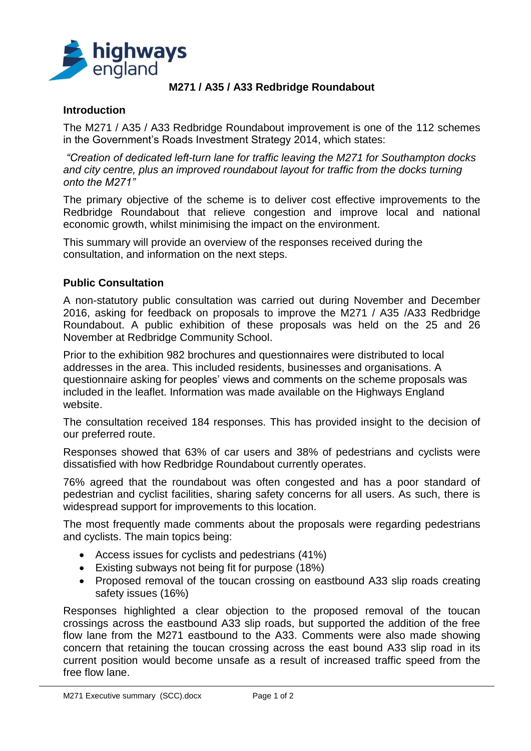

## **M271 / A35 / A33 Redbridge Roundabout**

## **Introduction**

The M271 / A35 / A33 Redbridge Roundabout improvement is one of the 112 schemes in the Government's Roads Investment Strategy 2014, which states:

*"Creation of dedicated left-turn lane for traffic leaving the M271 for Southampton docks and city centre, plus an improved roundabout layout for traffic from the docks turning onto the M271"*

The primary objective of the scheme is to deliver cost effective improvements to the Redbridge Roundabout that relieve congestion and improve local and national economic growth, whilst minimising the impact on the environment.

This summary will provide an overview of the responses received during the consultation, and information on the next steps.

#### **Public Consultation**

A non-statutory public consultation was carried out during November and December 2016, asking for feedback on proposals to improve the M271 / A35 /A33 Redbridge Roundabout. A public exhibition of these proposals was held on the 25 and 26 November at Redbridge Community School.

Prior to the exhibition 982 brochures and questionnaires were distributed to local addresses in the area. This included residents, businesses and organisations. A questionnaire asking for peoples' views and comments on the scheme proposals was included in the leaflet. Information was made available on the Highways England website.

The consultation received 184 responses. This has provided insight to the decision of our preferred route.

Responses showed that 63% of car users and 38% of pedestrians and cyclists were dissatisfied with how Redbridge Roundabout currently operates.

76% agreed that the roundabout was often congested and has a poor standard of pedestrian and cyclist facilities, sharing safety concerns for all users. As such, there is widespread support for improvements to this location.

The most frequently made comments about the proposals were regarding pedestrians and cyclists. The main topics being:

- Access issues for cyclists and pedestrians (41%)
- Existing subways not being fit for purpose (18%)
- Proposed removal of the toucan crossing on eastbound A33 slip roads creating safety issues (16%)

Responses highlighted a clear objection to the proposed removal of the toucan crossings across the eastbound A33 slip roads, but supported the addition of the free flow lane from the M271 eastbound to the A33. Comments were also made showing concern that retaining the toucan crossing across the east bound A33 slip road in its current position would become unsafe as a result of increased traffic speed from the free flow lane.